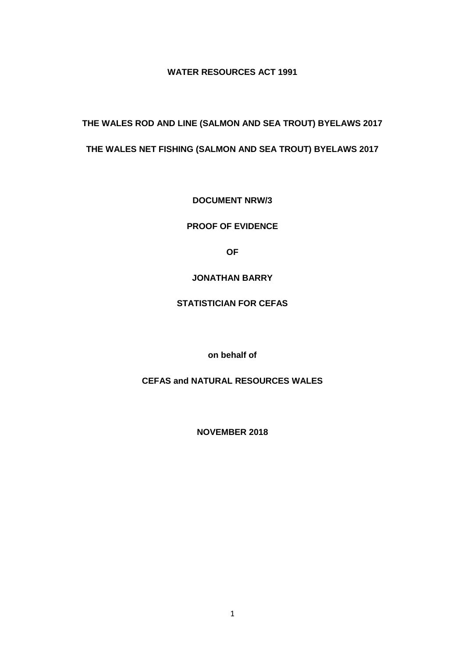**WATER RESOURCES ACT 1991**

**THE WALES ROD AND LINE (SALMON AND SEA TROUT) BYELAWS 2017 THE WALES NET FISHING (SALMON AND SEA TROUT) BYELAWS 2017**

**DOCUMENT NRW/3**

**PROOF OF EVIDENCE** 

**OF** 

## **JONATHAN BARRY**

## **STATISTICIAN FOR CEFAS**

**on behalf of** 

**CEFAS and NATURAL RESOURCES WALES**

**NOVEMBER 2018**

1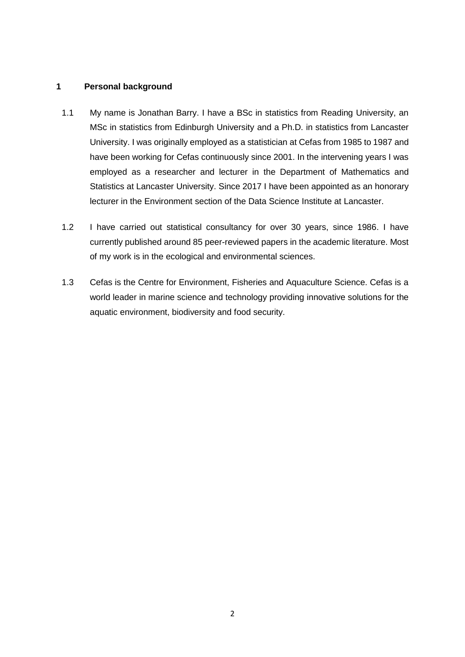### **1 Personal background**

- 1.1 My name is Jonathan Barry. I have a BSc in statistics from Reading University, an MSc in statistics from Edinburgh University and a Ph.D. in statistics from Lancaster University. I was originally employed as a statistician at Cefas from 1985 to 1987 and have been working for Cefas continuously since 2001. In the intervening years I was employed as a researcher and lecturer in the Department of Mathematics and Statistics at Lancaster University. Since 2017 I have been appointed as an honorary lecturer in the Environment section of the Data Science Institute at Lancaster.
- 1.2 I have carried out statistical consultancy for over 30 years, since 1986. I have currently published around 85 peer-reviewed papers in the academic literature. Most of my work is in the ecological and environmental sciences.
- 1.3 Cefas is the Centre for Environment, Fisheries and Aquaculture Science. Cefas is a world leader in marine science and technology providing innovative solutions for the aquatic environment, biodiversity and food security.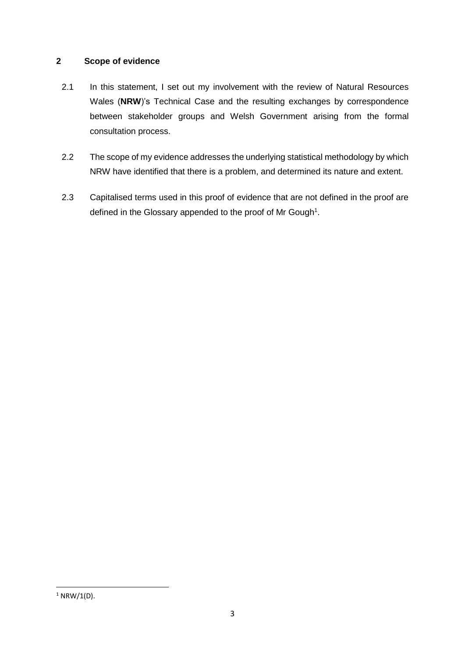## **2 Scope of evidence**

- 2.1 In this statement, I set out my involvement with the review of Natural Resources Wales (**NRW**)'s Technical Case and the resulting exchanges by correspondence between stakeholder groups and Welsh Government arising from the formal consultation process.
- 2.2 The scope of my evidence addresses the underlying statistical methodology by which NRW have identified that there is a problem, and determined its nature and extent.
- 2.3 Capitalised terms used in this proof of evidence that are not defined in the proof are defined in the Glossary appended to the proof of Mr Gough<sup>1</sup>.

 $1$  NRW/1(D).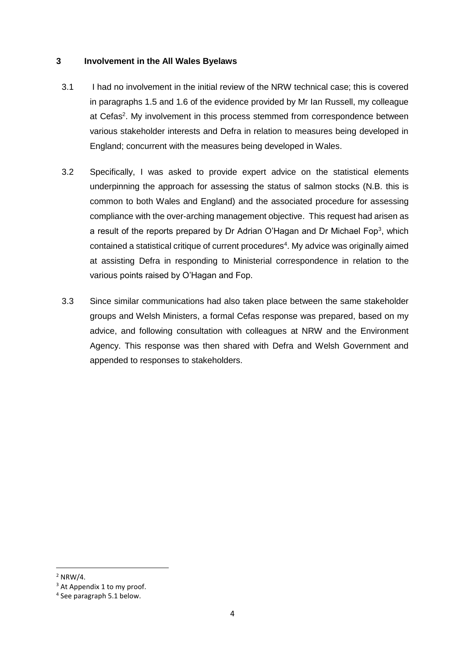## **3 Involvement in the All Wales Byelaws**

- 3.1 I had no involvement in the initial review of the NRW technical case; this is covered in paragraphs 1.5 and 1.6 of the evidence provided by Mr Ian Russell, my colleague at Cefas<sup>2</sup>. My involvement in this process stemmed from correspondence between various stakeholder interests and Defra in relation to measures being developed in England; concurrent with the measures being developed in Wales.
- 3.2 Specifically, I was asked to provide expert advice on the statistical elements underpinning the approach for assessing the status of salmon stocks (N.B. this is common to both Wales and England) and the associated procedure for assessing compliance with the over-arching management objective. This request had arisen as a result of the reports prepared by Dr Adrian O'Hagan and Dr Michael Fop<sup>3</sup>, which contained a statistical critique of current procedures<sup>4</sup>. My advice was originally aimed at assisting Defra in responding to Ministerial correspondence in relation to the various points raised by O'Hagan and Fop.
- 3.3 Since similar communications had also taken place between the same stakeholder groups and Welsh Ministers, a formal Cefas response was prepared, based on my advice, and following consultation with colleagues at NRW and the Environment Agency. This response was then shared with Defra and Welsh Government and appended to responses to stakeholders.

 $2$  NRW/4.

<sup>&</sup>lt;sup>3</sup> At Appendix 1 to my proof.

<sup>4</sup> See paragraph 5.1 below.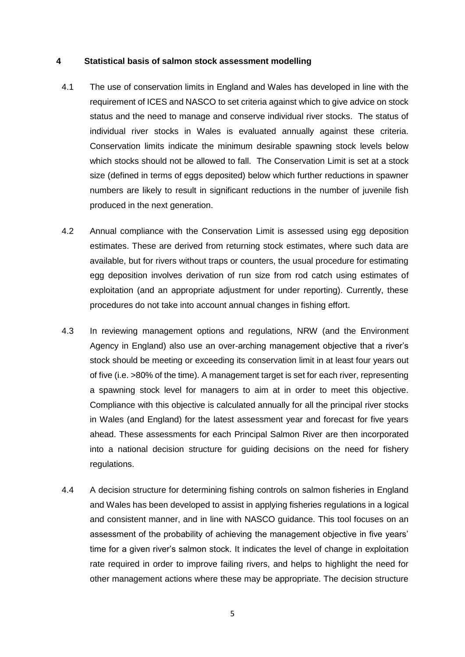#### **4 Statistical basis of salmon stock assessment modelling**

- 4.1 The use of conservation limits in England and Wales has developed in line with the requirement of ICES and NASCO to set criteria against which to give advice on stock status and the need to manage and conserve individual river stocks. The status of individual river stocks in Wales is evaluated annually against these criteria. Conservation limits indicate the minimum desirable spawning stock levels below which stocks should not be allowed to fall. The Conservation Limit is set at a stock size (defined in terms of eggs deposited) below which further reductions in spawner numbers are likely to result in significant reductions in the number of juvenile fish produced in the next generation.
- 4.2 Annual compliance with the Conservation Limit is assessed using egg deposition estimates. These are derived from returning stock estimates, where such data are available, but for rivers without traps or counters, the usual procedure for estimating egg deposition involves derivation of run size from rod catch using estimates of exploitation (and an appropriate adjustment for under reporting). Currently, these procedures do not take into account annual changes in fishing effort.
- 4.3 In reviewing management options and regulations, NRW (and the Environment Agency in England) also use an over-arching management objective that a river's stock should be meeting or exceeding its conservation limit in at least four years out of five (i.e. >80% of the time). A management target is set for each river, representing a spawning stock level for managers to aim at in order to meet this objective. Compliance with this objective is calculated annually for all the principal river stocks in Wales (and England) for the latest assessment year and forecast for five years ahead. These assessments for each Principal Salmon River are then incorporated into a national decision structure for guiding decisions on the need for fishery regulations.
- 4.4 A decision structure for determining fishing controls on salmon fisheries in England and Wales has been developed to assist in applying fisheries regulations in a logical and consistent manner, and in line with NASCO guidance. This tool focuses on an assessment of the probability of achieving the management objective in five years' time for a given river's salmon stock. It indicates the level of change in exploitation rate required in order to improve failing rivers, and helps to highlight the need for other management actions where these may be appropriate. The decision structure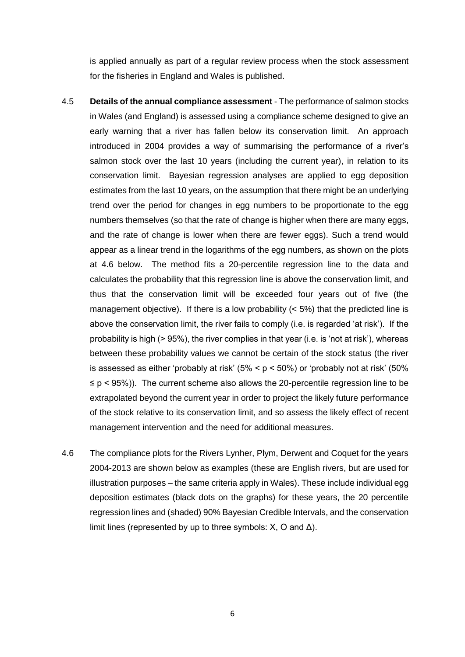is applied annually as part of a regular review process when the stock assessment for the fisheries in England and Wales is published.

- 4.5 **Details of the annual compliance assessment** The performance of salmon stocks in Wales (and England) is assessed using a compliance scheme designed to give an early warning that a river has fallen below its conservation limit. An approach introduced in 2004 provides a way of summarising the performance of a river's salmon stock over the last 10 years (including the current year), in relation to its conservation limit. Bayesian regression analyses are applied to egg deposition estimates from the last 10 years, on the assumption that there might be an underlying trend over the period for changes in egg numbers to be proportionate to the egg numbers themselves (so that the rate of change is higher when there are many eggs, and the rate of change is lower when there are fewer eggs). Such a trend would appear as a linear trend in the logarithms of the egg numbers, as shown on the plots at 4.6 below. The method fits a 20-percentile regression line to the data and calculates the probability that this regression line is above the conservation limit, and thus that the conservation limit will be exceeded four years out of five (the management objective). If there is a low probability  $($  < 5%) that the predicted line is above the conservation limit, the river fails to comply (i.e. is regarded 'at risk'). If the probability is high (> 95%), the river complies in that year (i.e. is 'not at risk'), whereas between these probability values we cannot be certain of the stock status (the river is assessed as either 'probably at risk'  $(5\% < p < 50\%)$  or 'probably not at risk'  $(50\%$ ≤ p < 95%)). The current scheme also allows the 20-percentile regression line to be extrapolated beyond the current year in order to project the likely future performance of the stock relative to its conservation limit, and so assess the likely effect of recent management intervention and the need for additional measures.
- 4.6 The compliance plots for the Rivers Lynher, Plym, Derwent and Coquet for the years 2004-2013 are shown below as examples (these are English rivers, but are used for illustration purposes – the same criteria apply in Wales). These include individual egg deposition estimates (black dots on the graphs) for these years, the 20 percentile regression lines and (shaded) 90% Bayesian Credible Intervals, and the conservation limit lines (represented by up to three symbols:  $X$ , O and  $\Delta$ ).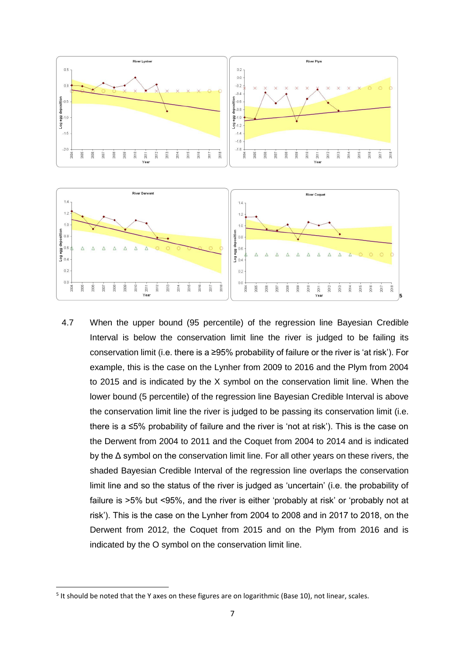

4.7 When the upper bound (95 percentile) of the regression line Bayesian Credible Interval is below the conservation limit line the river is judged to be failing its conservation limit (i.e. there is a ≥95% probability of failure or the river is 'at risk'). For example, this is the case on the Lynher from 2009 to 2016 and the Plym from 2004 to 2015 and is indicated by the X symbol on the conservation limit line. When the lower bound (5 percentile) of the regression line Bayesian Credible Interval is above the conservation limit line the river is judged to be passing its conservation limit (i.e. there is a ≤5% probability of failure and the river is 'not at risk'). This is the case on the Derwent from 2004 to 2011 and the Coquet from 2004 to 2014 and is indicated by the Δ symbol on the conservation limit line. For all other years on these rivers, the shaded Bayesian Credible Interval of the regression line overlaps the conservation limit line and so the status of the river is judged as 'uncertain' (i.e. the probability of failure is >5% but <95%, and the river is either 'probably at risk' or 'probably not at risk'). This is the case on the Lynher from 2004 to 2008 and in 2017 to 2018, on the Derwent from 2012, the Coquet from 2015 and on the Plym from 2016 and is indicated by the O symbol on the conservation limit line.

<sup>&</sup>lt;sup>5</sup> It should be noted that the Y axes on these figures are on logarithmic (Base 10), not linear, scales.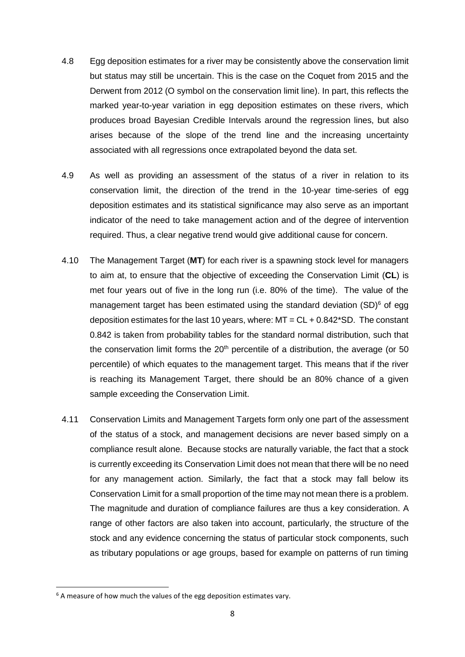- 4.8 Egg deposition estimates for a river may be consistently above the conservation limit but status may still be uncertain. This is the case on the Coquet from 2015 and the Derwent from 2012 (O symbol on the conservation limit line). In part, this reflects the marked year-to-year variation in egg deposition estimates on these rivers, which produces broad Bayesian Credible Intervals around the regression lines, but also arises because of the slope of the trend line and the increasing uncertainty associated with all regressions once extrapolated beyond the data set.
- 4.9 As well as providing an assessment of the status of a river in relation to its conservation limit, the direction of the trend in the 10-year time-series of egg deposition estimates and its statistical significance may also serve as an important indicator of the need to take management action and of the degree of intervention required. Thus, a clear negative trend would give additional cause for concern.
- 4.10 The Management Target (**MT**) for each river is a spawning stock level for managers to aim at, to ensure that the objective of exceeding the Conservation Limit (**CL**) is met four years out of five in the long run (i.e. 80% of the time). The value of the management target has been estimated using the standard deviation  $(SD)^6$  of egg deposition estimates for the last 10 years, where:  $MT = CL + 0.842$ \*SD. The constant 0.842 is taken from probability tables for the standard normal distribution, such that the conservation limit forms the  $20<sup>th</sup>$  percentile of a distribution, the average (or 50 percentile) of which equates to the management target. This means that if the river is reaching its Management Target, there should be an 80% chance of a given sample exceeding the Conservation Limit.
- 4.11 Conservation Limits and Management Targets form only one part of the assessment of the status of a stock, and management decisions are never based simply on a compliance result alone. Because stocks are naturally variable, the fact that a stock is currently exceeding its Conservation Limit does not mean that there will be no need for any management action. Similarly, the fact that a stock may fall below its Conservation Limit for a small proportion of the time may not mean there is a problem. The magnitude and duration of compliance failures are thus a key consideration. A range of other factors are also taken into account, particularly, the structure of the stock and any evidence concerning the status of particular stock components, such as tributary populations or age groups, based for example on patterns of run timing

 $6$  A measure of how much the values of the egg deposition estimates vary.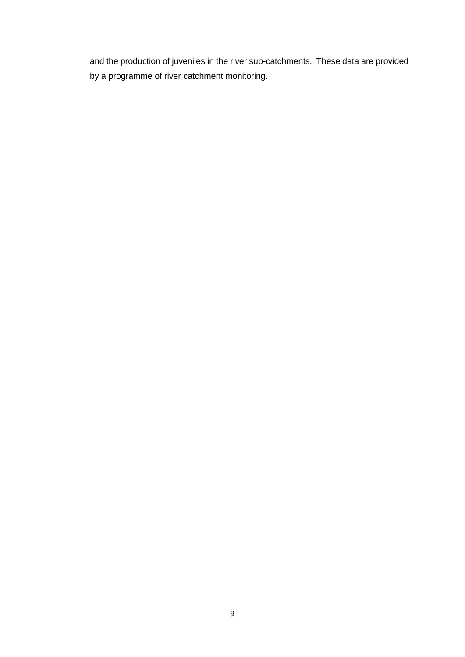and the production of juveniles in the river sub-catchments. These data are provided by a programme of river catchment monitoring.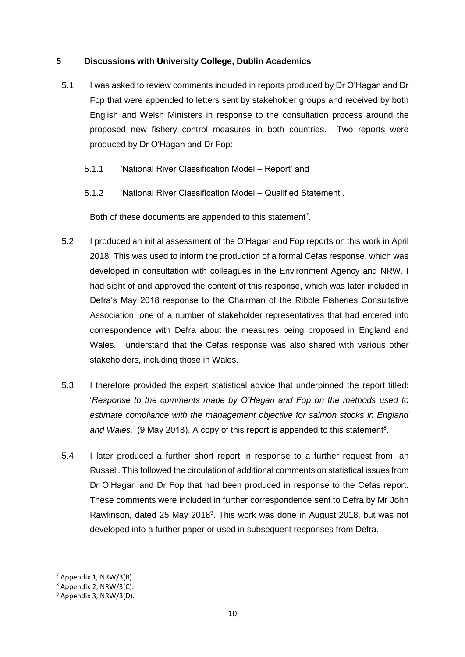## **5 Discussions with University College, Dublin Academics**

- 5.1 I was asked to review comments included in reports produced by Dr O'Hagan and Dr Fop that were appended to letters sent by stakeholder groups and received by both English and Welsh Ministers in response to the consultation process around the proposed new fishery control measures in both countries. Two reports were produced by Dr O'Hagan and Dr Fop:
	- 5.1.1 'National River Classification Model Report' and
	- 5.1.2 'National River Classification Model Qualified Statement'.

Both of these documents are appended to this statement<sup>7</sup>.

- 5.2 I produced an initial assessment of the O'Hagan and Fop reports on this work in April 2018. This was used to inform the production of a formal Cefas response, which was developed in consultation with colleagues in the Environment Agency and NRW. I had sight of and approved the content of this response, which was later included in Defra's May 2018 response to the Chairman of the Ribble Fisheries Consultative Association, one of a number of stakeholder representatives that had entered into correspondence with Defra about the measures being proposed in England and Wales. I understand that the Cefas response was also shared with various other stakeholders, including those in Wales.
- 5.3 I therefore provided the expert statistical advice that underpinned the report titled: '*Response to the comments made by O'Hagan and Fop on the methods used to estimate compliance with the management objective for salmon stocks in England*  and Wales.' (9 May 2018). A copy of this report is appended to this statement<sup>8</sup>.
- 5.4 I later produced a further short report in response to a further request from Ian Russell. This followed the circulation of additional comments on statistical issues from Dr O'Hagan and Dr Fop that had been produced in response to the Cefas report. These comments were included in further correspondence sent to Defra by Mr John Rawlinson, dated 25 May 2018<sup>9</sup>. This work was done in August 2018, but was not developed into a further paper or used in subsequent responses from Defra.

**<sup>.</sup>**  $<sup>7</sup>$  Appendix 1, NRW/3(B).</sup>

<sup>8</sup> Appendix 2, NRW/3(C).

<sup>9</sup> Appendix 3, NRW/3(D).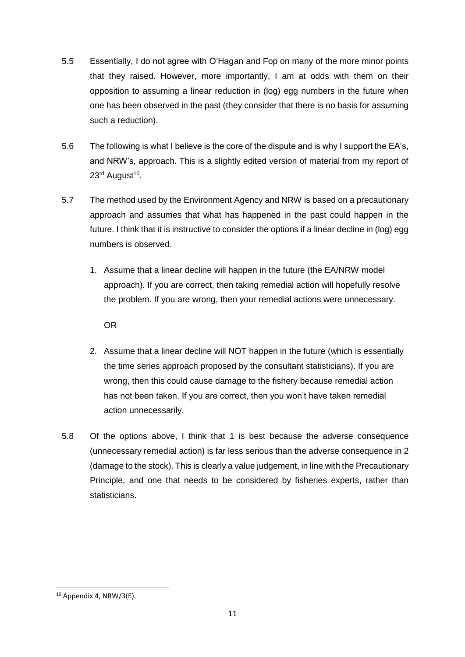- 5.5 Essentially, I do not agree with O'Hagan and Fop on many of the more minor points that they raised. However, more importantly, I am at odds with them on their opposition to assuming a linear reduction in (log) egg numbers in the future when one has been observed in the past (they consider that there is no basis for assuming such a reduction).
- 5.6 The following is what I believe is the core of the dispute and is why I support the EA's, and NRW's, approach. This is a slightly edited version of material from my report of 23<sup>rd</sup> August<sup>10</sup>.
- 5.7 The method used by the Environment Agency and NRW is based on a precautionary approach and assumes that what has happened in the past could happen in the future. I think that it is instructive to consider the options if a linear decline in (log) egg numbers is observed.
	- 1. Assume that a linear decline will happen in the future (the EA/NRW model approach). If you are correct, then taking remedial action will hopefully resolve the problem. If you are wrong, then your remedial actions were unnecessary.

OR

- 2. Assume that a linear decline will NOT happen in the future (which is essentially the time series approach proposed by the consultant statisticians). If you are wrong, then this could cause damage to the fishery because remedial action has not been taken. If you are correct, then you won't have taken remedial action unnecessarily.
- 5.8 Of the options above, I think that 1 is best because the adverse consequence (unnecessary remedial action) is far less serious than the adverse consequence in 2 (damage to the stock). This is clearly a value judgement, in line with the Precautionary Principle, and one that needs to be considered by fisheries experts, rather than statisticians.

 $10$  Appendix 4, NRW/3(E).